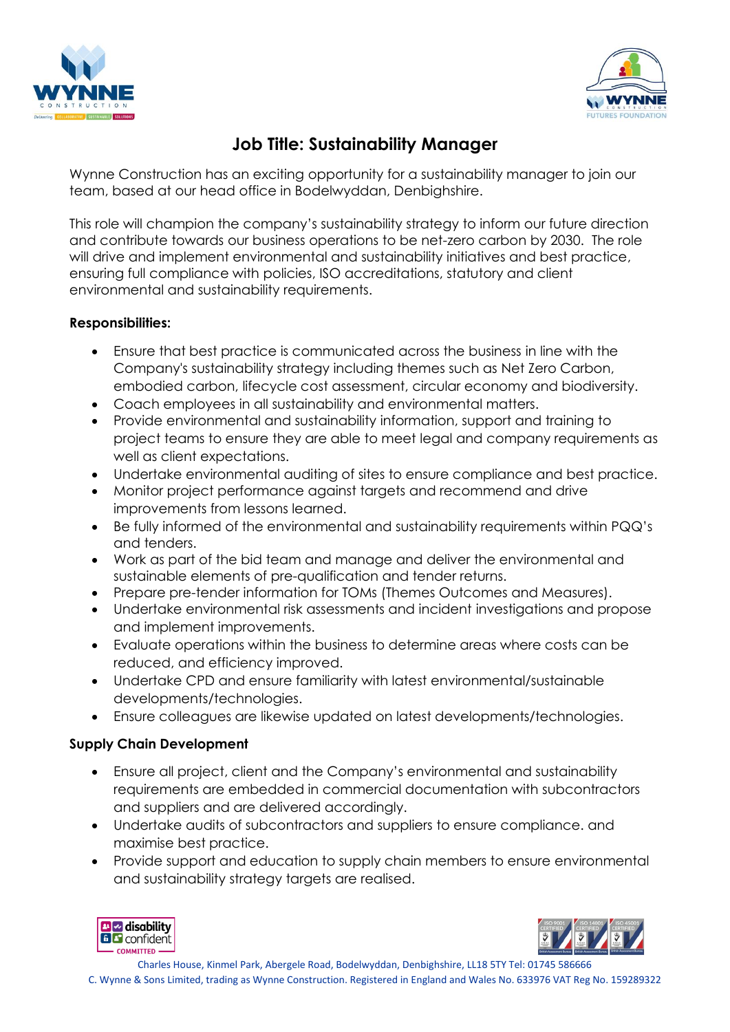



# **Job Title: Sustainability Manager**

Wynne Construction has an exciting opportunity for a sustainability manager to join our team, based at our head office in Bodelwyddan, Denbighshire.

This role will champion the company's sustainability strategy to inform our future direction and contribute towards our business operations to be net-zero carbon by 2030. The role will drive and implement environmental and sustainability initiatives and best practice, ensuring full compliance with policies, ISO accreditations, statutory and client environmental and sustainability requirements.

### **Responsibilities:**

- Ensure that best practice is communicated across the business in line with the Company's sustainability strategy including themes such as Net Zero Carbon, embodied carbon, lifecycle cost assessment, circular economy and biodiversity.
- Coach employees in all sustainability and environmental matters.
- Provide environmental and sustainability information, support and training to project teams to ensure they are able to meet legal and company requirements as well as client expectations.
- Undertake environmental auditing of sites to ensure compliance and best practice.
- Monitor project performance against targets and recommend and drive improvements from lessons learned.
- Be fully informed of the environmental and sustainability requirements within PQQ's and tenders.
- Work as part of the bid team and manage and deliver the environmental and sustainable elements of pre-qualification and tender returns.
- Prepare pre-tender information for TOMs (Themes Outcomes and Measures).
- Undertake environmental risk assessments and incident investigations and propose and implement improvements.
- Evaluate operations within the business to determine areas where costs can be reduced, and efficiency improved.
- Undertake CPD and ensure familiarity with latest environmental/sustainable developments/technologies.
- Ensure colleagues are likewise updated on latest developments/technologies.

### **Supply Chain Development**

- Ensure all project, client and the Company's environmental and sustainability requirements are embedded in commercial documentation with subcontractors and suppliers and are delivered accordingly.
- Undertake audits of subcontractors and suppliers to ensure compliance. and maximise best practice.
- Provide support and education to supply chain members to ensure environmental and sustainability strategy targets are realised.





Charles House, Kinmel Park, Abergele Road, Bodelwyddan, Denbighshire, LL18 5TY Tel: 01745 586666